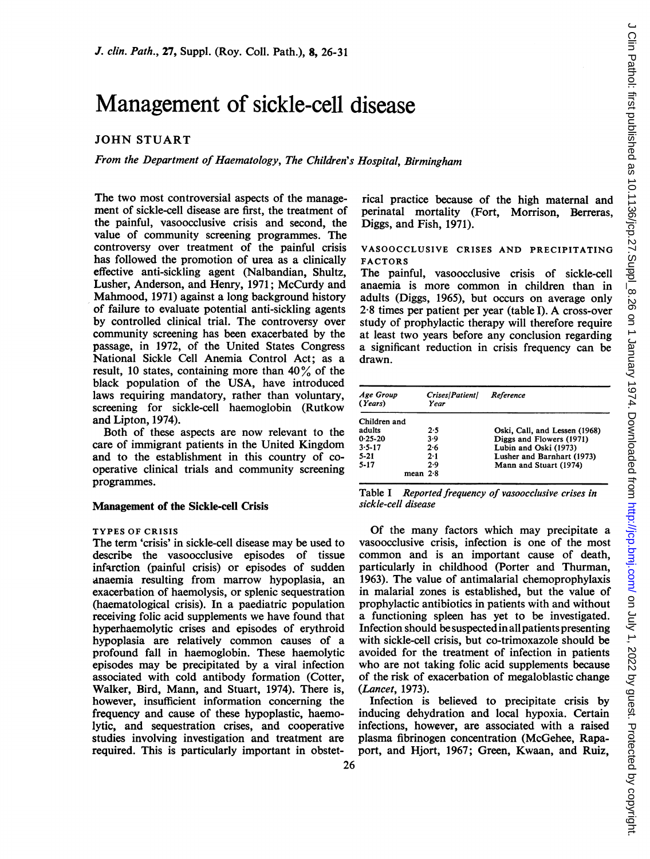# Management of sickle-cell disease

# JOHN STUART

From the Department of Haematology, The Children's Hospital, Birmingham

The two most controversial aspects of the management of sickle-cell disease are first, the treatment of the painful, vasoocclusive crisis and second, the value of community screening programmes. The controversy over treatment of the painful crisis has followed the promotion of urea as a clinically effective anti-sickling agent (Nalbandian, Shultz, Lusher, Anderson, and Henry, 1971; McCurdy and Mahmood, 1971) against a long background history of failure to evaluate potential anti-sickling agents by controlled clinical trial. The controversy over community screening has been exacerbated by the passage, in 1972, of the United States Congress National Sickle Cell Anemia Control Act; as a result, 10 states, containing more than  $40\%$  of the black population of the USA, have introduced laws requiring mandatory, rather than voluntary, screening for sickle-cell haemoglobin (Rutkow and Lipton, 1974).

Both of these aspects are now relevant to the care of immigrant patients in the United Kingdom and to the establishment in this country of cooperative clinical trials and community screening programmes.

#### Management of the Sickle-cell Crisis

## TYPES OF CRISIS

The term 'crisis' in sickle-cell disease may be used to describe the vasoocclusive episodes of tissue infarction (painful crisis) or episodes of sudden anaemia resulting from marrow hypoplasia, an exacerbation of haemolysis, or splenic sequestration (haematological crisis). In a paediatric population receiving folic acid supplements we have found that hyperhaemolytic crises and episodes of erythroid hypoplasia are relatively common causes of a profound fall in haemoglobin. These haemolytic episodes may be precipitated by a viral infection associated with cold antibody formation (Cotter, Walker, Bird, Mann, and Stuart, 1974). There is, however, insufficient information concerning the frequency and cause of these hypoplastic, haemolytic, and sequestration crises, and cooperative studies involving investigation and treatment are required. This is particularly important in obstetrical practice because of the high maternal and perinatal mortality (Fort, Morrison, Berreras, Diggs, and Fish, 1971).

#### VASOOCCLUSIVE CRISES AND PRECIPITATING FACTORS

The painful, vasoocclusive crisis of sickle-cell anaemia is more common in children than in adults (Diggs, 1965), but occurs on average only 2-8 times per patient per year (table I). A cross-over study of prophylactic therapy will therefore require at least two years before any conclusion regarding a significant reduction in crisis frequency can be drawn.

| Age Group<br>Crises/Patient/<br>(Years)<br>Year |     | Reference                     |  |  |
|-------------------------------------------------|-----|-------------------------------|--|--|
| Children and                                    |     |                               |  |  |
| adults                                          | 2.5 | Oski, Call, and Lessen (1968) |  |  |
| $0.25 - 20$                                     | 3.9 | Diggs and Flowers (1971)      |  |  |
| $3.5 - 17$                                      | 2.6 | Lubin and Oski (1973)         |  |  |
| $5 - 21$                                        | 2.1 | Lusher and Barnhart (1973)    |  |  |
| $5 - 17$                                        | 2.9 | Mann and Stuart (1974)        |  |  |
| mean $2.8$                                      |     |                               |  |  |

Table I Reported frequency of vasoocclusive crises in sickle-cell disease

Of the many factors which may precipitate a vasoocclusive crisis, infection is one of the most common and is an important cause of death, particularly in childhood (Porter and Thurman, 1963). The value of antimalarial chemoprophylaxis in malarial zones is established, but the value of prophylactic antibiotics in patients with and without a functioning spleen has yet to be investigated. Infection should be suspected in all patients presenting with sickle-cell crisis, but co-trimoxazole should be avoided for the treatment of infection in patients who are not taking folic acid supplements because of the risk of exacerbation of megaloblastic change (Lancet, 1973).

Infection is believed to precipitate crisis by inducing dehydration and local hypoxia. Certain infections, however, are associated with a raised plasma fibrinogen concentration (McGehee, Rapaport, and Hjort, 1967; Green, Kwaan, and Ruiz,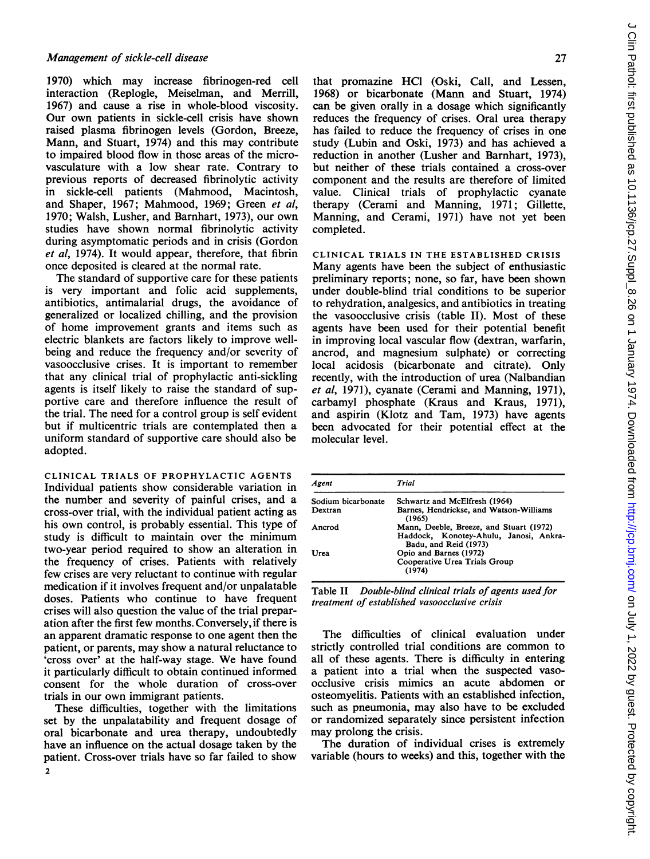1970) which may increase fibrinogen-red cell interaction (Replogle, Meiselman, and Merrill, 1967) and cause a rise in whole-blood viscosity. Our own patients in sickle-cell crisis have shown raised plasma fibrinogen levels (Gordon, Breeze, Mann, and Stuart, 1974) and this may contribute to impaired blood flow in those areas of the microvasculature with a low shear rate. Contrary to previous reports of decreased fibrinolytic activity in sickle-cell patients (Mahmood, Macintosh, and Shaper, 1967; Mahmood, 1969; Green et al. 1970; Walsh, Lusher, and Barnhart, 1973), our own studies have shown normal fibrinolytic activity during asymptomatic periods and in crisis (Gordon et al, 1974). It would appear, therefore, that fibrin once deposited is cleared at the normal rate.

The standard of supportive care for these patients is very important and folic acid supplements, antibiotics, antimalarial drugs, the avoidance of generalized or localized chilling, and the provision of home improvement grants and items such as electric blankets are factors likely to improve wellbeing and reduce the frequency and/or severity of vasoocclusive crises. It is important to remember that any clinical trial of prophylactic anti-sickling agents is itself likely to raise the standard of supportive care and therefore influence the result of the trial. The need for a control group is self evident but if multicentric trials are contemplated then a uniform standard of supportive care should also be adopted.

CLINICAL TRIALS OF PROPHYLACTIC AGENTS Individual patients show considerable variation in the number and severity of painful crises, and a cross-over trial, with the individual patient acting as his own control, is probably essential. This type of study is difficult to maintain over the minimum two-year period required to show an alteration in the frequency of crises. Patients with relatively few crises are very reluctant to continue with regular medication if it involves frequent and/or unpalatable doses. Patients who continue to have frequent crises will also question the value of the trial preparation after the first few months. Conversely, if there is an apparent dramatic response to one agent then the patient, or parents, may show a natural reluctance to 'cross over' at the half-way stage. We have found it particularly difficult to obtain continued informed consent for the whole duration of cross-over trials in our own immigrant patients.

These difficulties, together with the limitations set by the unpalatability and frequent dosage of oral bicarbonate and urea therapy, undoubtedly have an influence on the actual dosage taken by the patient. Cross-over trials have so far failed to show that promazine HCl (Oski, Call, and Lessen, 1968) or bicarbonate (Mann and Stuart, 1974) can be given orally in a dosage which significantly reduces the frequency of crises. Oral urea therapy has failed to reduce the frequency of crises in one study (Lubin and Oski, 1973) and has achieved a reduction in another (Lusher and Barnhart, 1973), but neither of these trials contained a cross-over component and the results are therefore of limited value. Clinical trials of prophylactic cyanate therapy (Cerami and Manning, 1971; Gillette, Manning, and Cerami, 1971) have not yet been completed.

CLINICAL TRIALS IN THE ESTABLISHED CRISIS Many agents have been the subject of enthusiastic preliminary reports; none, so far, have been shown under double-blind trial conditions to be superior to rehydration, analgesics, and antibiotics in treating the vasoocclusive crisis (table II). Most of these agents have been used for their potential benefit in improving local vascular flow (dextran, warfarin, ancrod, and magnesium sulphate) or correcting local acidosis (bicarbonate and citrate). Only recently, with the introduction of urea (Nalbandian et al, 1971), cyanate (Cerami and Manning, 1971), carbamyl phosphate (Kraus and Kraus, 1971), and aspirin (Klotz and Tam, 1973) have agents been advocated for their potential effect at the molecular level.

| Agent              | Trial                                                                                                      |  |  |  |
|--------------------|------------------------------------------------------------------------------------------------------------|--|--|--|
| Sodium bicarbonate | Schwartz and McElfresh (1964)                                                                              |  |  |  |
| Dextran            | Barnes, Hendrickse, and Watson-Williams<br>(1965)                                                          |  |  |  |
| Ancrod             | Mann. Deeble, Breeze, and Stuart (1972)<br>Haddock, Konotey-Ahulu, Janosi, Ankra-<br>Badu, and Reid (1973) |  |  |  |
| Urea               | Opio and Barnes (1972)<br>Cooperative Urea Trials Group<br>(1974)                                          |  |  |  |

| Table II | Double-blind clinical trials of agents used for |  |  |
|----------|-------------------------------------------------|--|--|
|          | treatment of established vasoocclusive crisis   |  |  |

The difficulties of clinical evaluation under strictly controlled trial conditions are common to all of these agents. There is difficulty in entering a patient into a trial when the suspected vasoocclusive crisis mimics an acute abdomen or osteomyelitis. Patients with an established infection, such as pneumonia, may also have to be excluded or randomized separately since persistent infection may prolong the crisis.

The duration of individual crises is extremely variable (hours to weeks) and this, together with the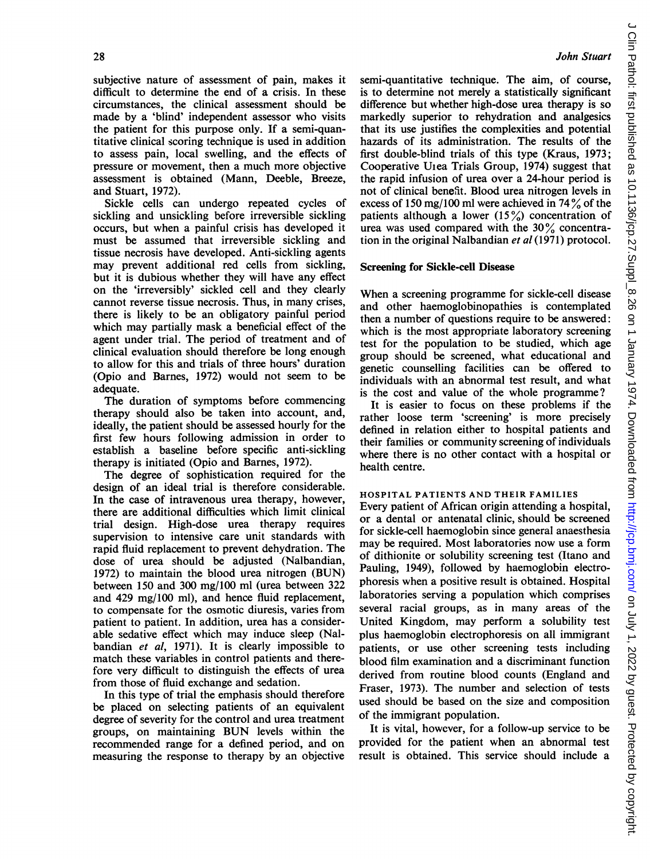subjective nature of assessment of pain, makes it difficult to determine the end of a crisis. In these circumstances, the clinical assessment should be made by a 'blind' independent assessor who visits the patient for this purpose only. If a semi-quantitative clinical scoring technique is used in addition to assess pain, local swelling, and the effects of pressure or movement, then a much more objective assessment is obtained (Mann, Deeble, Breeze, and Stuart, 1972).

Sickle cells can undergo repeated cycles of sickling and unsickling before irreversible sickling occurs, but when a painful crisis has developed it must be assumed that irreversible sickling and tissue necrosis have developed. Anti-sickling agents may prevent additional red cells from sickling, but it is dubious whether they will have any effect on the 'irreversibly' sickled cell and they clearly cannot reverse tissue necrosis. Thus, in many crises, there is likely to be an obligatory painful period which may partially mask a beneficial effect of the agent under trial. The period of treatment and of clinical evaluation should therefore be long enough to allow for this and trials of three hours' duration (Opio and Barnes, 1972) would not seem to be adequate.

The duration of symptoms before commencing therapy should also be taken into account, and, ideally, the patient should be assessed hourly for the first few hours following admission in order to establish a baseline before specific anti-sickling therapy is initiated (Opio and Barnes, 1972).

The degree of sophistication required for the design of an ideal trial is therefore considerable. In the case of intravenous urea therapy, however, there are additional difficulties which limit clinical trial design. High-dose urea therapy requires supervision to intensive care unit standards with rapid fluid replacement to prevent dehydration. The dose of urea should be adjusted (Nalbandian, 1972) to maintain the blood urea nitrogen (BUN) between 150 and 300 mg/100 ml (urea between 322 and 429 mg/100 ml), and hence fluid replacement, to compensate for the osmotic diuresis, varies from patient to patient. In addition, urea has a considerable sedative effect which may induce sleep (Nalbandian et al, 1971). It is clearly impossible to match these variables in control patients and therefore very difficult to distinguish the effects of urea from those of fluid exchange and sedation.

In this type of trial the emphasis should therefore be placed on selecting patients of an equivalent degree of severity for the control and urea treatment groups, on maintaining BUN levels within the recommended range for a defined period, and on measuring the response to therapy by an objective semi-quantitative technique. The aim, of course, is to determine not merely a statistically significant difference but whether high-dose urea therapy is so markedly superior to rehydration and analgesics that its use justifies the complexities and potential hazards of its administration. The results of the first double-blind trials of this type (Kraus, 1973; Cooperative Uiea Trials Group, 1974) suggest that the rapid infusion of urea over a 24-hour period is not of clinical benefit. Blood urea nitrogen levels in excess of 150 mg/100 ml were achieved in 74% of the patients although a lower  $(15\%)$  concentration of urea was used compared with the 30% concentration in the original Nalbandian et al (1971) protocol.

## Screening for Sickle-cell Disease

When a screening programme for sickle-cell disease and other haemoglobinopathies is contemplated then a number of questions require to be answered: which is the most appropriate laboratory screening test for the population to be studied, which age group should be screened, what educational and genetic counselling facilities can be offered to individuals with an abnormal test result, and what is the cost and value of the whole programme?

It is easier to focus on these problems if the rather loose term 'screening' is more precisely defined in relation either to hospital patients and their families or community screening of individuals where there is no other contact with a hospital or health centre.

### HOSPITAL PATIENTS AND THEIR FAMILIES

Every patient of African origin attending a hospital, or a dental or antenatal clinic, should be screened for sickle-cell haemoglobin since general anaesthesia may be required. Most laboratories now use a form of dithionite or solubility screening test (Itano and Pauling, 1949), followed by haemoglobin electrophoresis when a positive result is obtained. Hospital laboratories serving a population which comprises several racial groups, as in many areas of the United Kingdom, may perform a solubility test plus haemoglobin electrophoresis on all immigrant patients, or use other screening tests including blood film examination and a discriminant function derived from routine blood counts (England and Fraser, 1973). The number and selection of tests used should be based on the size and composition of the immigrant population.

It is vital, however, for a follow-up service to be provided for the patient when an abnormal test result is obtained. This service should include a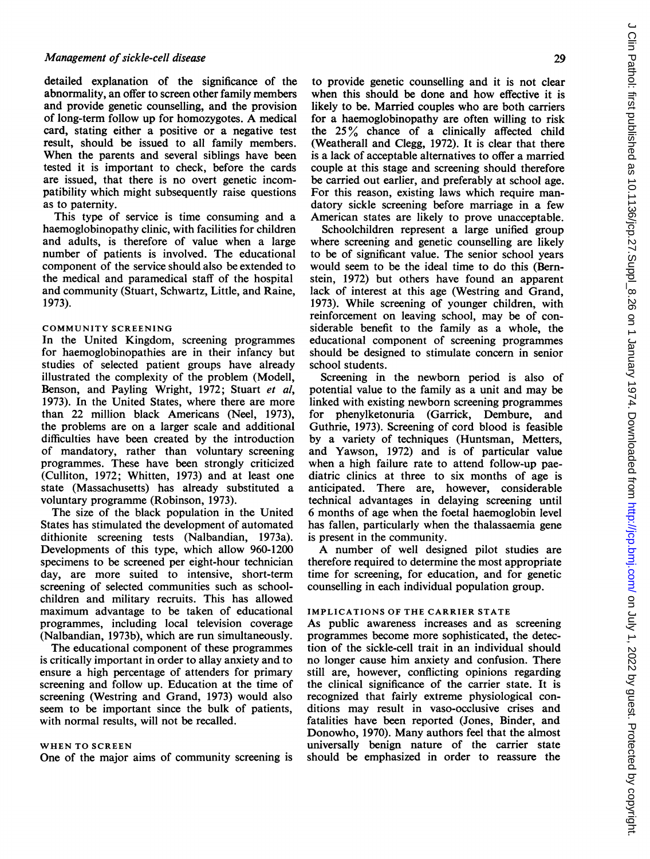detailed explanation of the significance of the abnormality, an offer to screen other family members and provide genetic counselling, and the provision of long-term follow up for homozygotes. A medical card, stating either a positive or a negative test result, should be issued to all family members. When the parents and several siblings have been tested it is important to check, before the cards are issued, that there is no overt genetic incompatibility which might subsequently raise questions as to paternity.

This type of service is time consuming and a haemoglobinopathy clinic, with facilities for children and adults, is therefore of value when a large number of patients is involved. The educational component of the service should also be extended to the medical and paramedical staff of the hospital and community (Stuart, Schwartz, Little, and Raine, 1973).

#### COMMUNITY SCREENING

In the United Kingdom, screening programmes for haemoglobinopathies are in their infancy but studies of selected patient groups have already illustrated the complexity of the problem (Modell, Benson, and Payling Wright, 1972; Stuart et al, 1973). In the United States, where there are more than 22 million black Americans (Neel, 1973), the problems are on a larger scale and additional difficulties have been created by the introduction of mandatory, rather than voluntary screening programmes. These have been strongly criticized (Culliton, 1972; Whitten, 1973) and at least one state (Massachusetts) has already substituted a voluntary programme (Robinson, 1973).

The size of the black population in the United States has stimulated the development of automated dithionite screening tests (Nalbandian, 1973a). Developments of this type, which allow 960-1200 specimens to be screened per eight-hour technician day, are more suited to intensive, short-term screening of selected communities such as schoolchildren and military recruits. This has allowed maximum advantage to be taken of educational programmes, including local television coverage (Nalbandian, 1973b), which are run simultaneously.

The educational component of these programmes is critically important in order to allay anxiety and to ensure a high percentage of attenders for primary screening and follow up. Education at the time of screening (Westring and Grand, 1973) would also seem to be important since the bulk of patients, with normal results, will not be recalled.

#### WHEN TO SCREEN

One of the major aims of community screening is

to provide genetic counselling and it is not clear when this should be done and how effective it is likely to be. Married couples who are both carriers for a haemoglobinopathy are often willing to risk the 25% chance of a clinically affected child (Weatherall and Clegg, 1972). It is clear that there is a lack of acceptable alternatives to offer a married couple at this stage and screening should therefore be carried out earlier, and preferably at school age. For this reason, existing laws which require mandatory sickle screening before marriage in a few American states are likely to prove unacceptable.

Schoolchildren represent a large unified group where screening and genetic counselling are likely to be of significant value. The senior school years would seem to be the ideal time to do this (Bernstein, 1972) but others have found an apparent lack of interest at this age (Westring and Grand, 1973). While screening of younger children, with reinforcement on leaving school, may be of considerable benefit to the family as a whole, the educational component of screening programmes should be designed to stimulate concern in senior school students.

Screening in the newborn period is also of potential value to the family as a unit and may be linked with existing newborn screening programmes for phenylketonuria (Garrick, Dembure, and Guthrie, 1973). Screening of cord blood is feasible by a variety of techniques (Huntsman, Metters, and Yawson, 1972) and is of particular value when a high failure rate to attend follow-up paediatric clinics at three to six months of age is anticipated. There are, however, considerable technical advantages in delaying screening until 6 months of age when the foetal haemoglobin level has fallen, particularly when the thalassaemia gene is present in the community.

A number of well designed pilot studies are therefore required to determine the most appropriate time for screening, for education, and for genetic counselling in each individual population group.

#### IMPLICATIONS OF THE CARRIER STATE

As public awareness increases and as screening programmes become more sophisticated, the detection of the sickle-cell trait in an individual should no longer cause him anxiety and confusion. There still are, however, conflicting opinions regarding the clinical significance of the carrier state. It is recognized that fairly extreme physiological conditions may result in vaso-occlusive crises and fatalities have been reported (Jones, Binder, and Donowho, 1970). Many authors feel that the almost universally benign nature of the carrier state should be emphasized in order to reassure the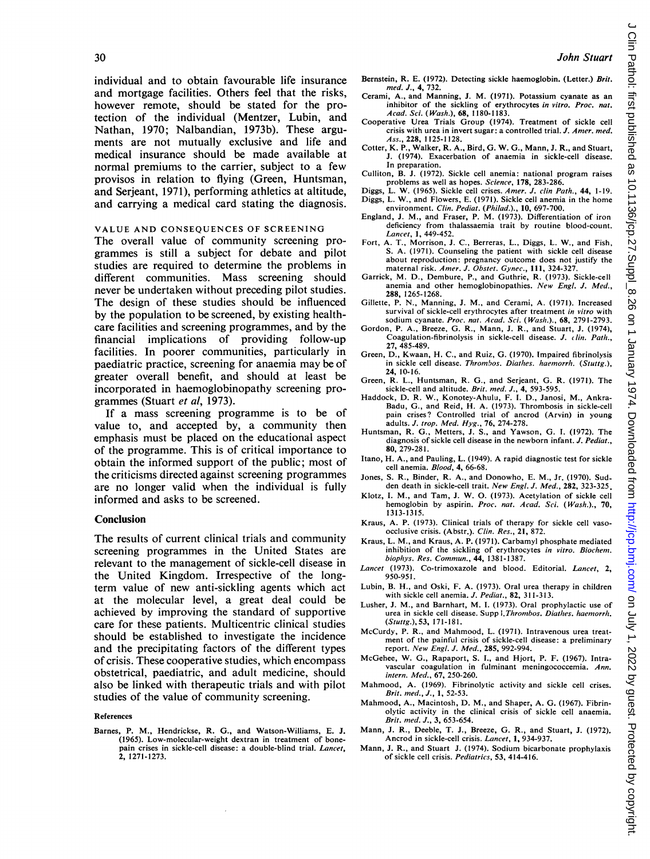on July 1, 2022 by guest. Protected by copyright. <http://jcp.bmj.com/> J Clin Pathol: first published as 10.1136/jcp.27.Suppl\_8.26 on 1 January 1974. Downloaded from

individual and to obtain favourable life insurance and mortgage facilities. Others feel that the risks, however remote, should be stated for the protection of the individual (Mentzer, Lubin, and Nathan, 1970; Nalbandian, 1973b). These arguments are not mutually exclusive and life and medical insurance should be made available at normal premiums to the carrier, subject to a few provisos in relation to flying (Green, Huntsman, and Serjeant, 1971), performing athletics at altitude, and carrying a medical card stating the diagnosis.

# VALUE AND CONSEQUENCES OF SCREENING

The overall value of community screening programmes is still a subject for debate and pilot studies are required to determine the problems in different communities. Mass screening should never be undertaken without preceding pilot studies. The design of these studies should be influenced by the population to be screened, by existing healthcare facilities and screening programmes, and by the financial implications of providing follow-up facilities. In poorer communities, particularly in paediatric practice, screening for anaemia may be of greater overall benefit, and should at least be incorporated in haemoglobinopathy screening programmes (Stuart et al, 1973).

If a mass screening programme is to be of value to, and accepted by, a community then emphasis must be placed on the educational aspect of the programme. This is of critical importance to obtain the informed support of the public; most of the criticisms directed against screening programmes are no longer valid when the individual is fully informed and asks to be screened.

## Conclusion

The results of current clinical trials and community screening programmes in the United States are relevant to the management of sickle-cell disease in the United Kingdom. Irrespective of the longterm value of new anti-sickling agents which act at the molecular level, a great deal could be achieved by improving the standard of supportive care for these patients. Multicentric clinical studies should be established to investigate the incidence and the precipitating factors of the different types of crisis. These cooperative studies, which encompass obstetrical, paediatric, and adult medicine, should also be linked with therapeutic trials and with pilot studies of the value of community screening.

## References

Barnes, P. M., Hendrickse, R. G., and Watson-Williams, E. J. (1965). Low-molecular-weight dextran in treatment of bonepain crises in sickle-cell disease: a double-blind trial. Lancet, 2, 1271-1273.

- Bernstein, R. E. (1972). Detecting sickle haemoglobin. (Letter.) Brit. med. J., 4, 732.
- Cerami, A., and Manning, J. M. (1971). Potassium cyanate as an inhibitor of the sickling of erythrocytes in vitro. Proc. nat. Acad. Sci. (Wash.), 68, 1180-1183.
- Cooperative Urea Trials Group (1974). Treatment of sickle cell crisis with urea in invert sugar: a controlled trial. J. Amer. med. Ass., 228, 1125-1128.
- Cotter, K. P., Walker, R. A., Bird, G. W. G., Mann, J. R., and Stuart, J. (1974). Exacerbation of anaemia in sickle-cell disease. In preparation.
- Culliton, B. J. (1972). Sickle cell anemia: national program raises problems as well as hopes. Science, 178, 283-286.
- Diggs, L. W. (1965). Sickle cell crises. Amer. J. clin Path., 44, 1-19. Diggs, L. W., and Flowers, E. (1971). Sickle cell anemia in the home
- environment. Clin. Pediat. (Philad.)., 10, 697-700. England, J. M., and Fraser, P. M. (1973). Differentiation of iron deficiency from thalassaemia trait by routine blood-count. Lancet, 1, 449-452.
- Fort, A. T., Morrison, J. C., Berreras, L., Diggs, L. W., and Fish, S. A. (1971). Counseling the patient with sickle cell disease about reproduction: pregnancy outcome does not justify the maternal risk. Amer. J. Obstet. Gynec., 111, 324-327.
- Garrick, M. D., Dembure, P., and Guthrie, R. (1973). Sickle-cell anemia and other hemoglobinopathies. New Engl. J. Med., 288, 1265-1268.
- Gillette, P. N., Manning, J. M., and Cerami, A. (1971). Increased survival of sickle-cell erythrocytes after treatment in vitro with sodium cyanate. Proc. nat. Acad. Sci. (Wash.)., 68, 2791-2793.
- Gordon, P. A., Breeze, G. R., Mann, J. R., and Stuart, J. (1974), Coagulation-fibrinolysis in sickle-cell disease. J. (lin. Path., 27, 485-489.
- Green, D., Kwaan, H. C., and Ruiz, G. (1970). Impaired fibrinolysis in sickle cell disease. Thrombos. Diathes. haemorrh. (Stuttg.), 24, 10-16.
- Green, R. L., Huntsman, R. G., and Serjeant, G. R. (1971). The sickle-cell and altitude. Brit. med. J., 4, 593-595.
- Haddock, D. R. W., Konotey-Ahulu, F. I. D., Janosi, M., Ankra-Badu, G., and Reid, H. A. (1973). Thrombosis in sickle-cell pain crises? Controlled trial of ancrod (Arvin) in young adults. J. trop. Med. Hyg., 76, 274-278.
- Huntsman, R. G., Metters, J. S., and Yawson, G. 1. (1972). The diagnosis of sickle cell disease in the newborn infant. J. Pediat., 80, 279-281.
- Itano, H. A., and Pauling, L. (1949). A rapid diagnostic test for sickle cell anemia. Blood, 4, 66-68.
- Jones, S. R., Binder, R. A., and Donowho, E. M., Jr. (1970). Sudden death in sickle-cell trait. New Engl. J. Med., 282, 323-325.
- Klotz, I. M., and Tam, J. W. 0. (1973). Acetylation of sickle cell hemoglobin by aspirin. Proc. nat. Acad. Sci. (Wash.)., 70, 1313-1315.
- Kraus, A. P. (1973). Clinical trials of therapy for sickle cell vasoocclusive crisis. (Abstr.). Clin. Res., 21, 872.
- Kraus, L. M., and Kraus, A. P. (1971). Carbamyl phosphate mediated inhibition of the sickling of erythrocytes in vitro. Biochem. biophys. Res. Commun., 44, 1381-1387.
- Lancet (1973). Co-trimoxazole and blood. Editorial. Lancet, 2, 950-951.
- Lubin, B. H., and Oski, F. A. (1973). Oral urea therapy in children with sickle cell anemia. J. Pediat., 82, 311-313.
- Lusher, J. M., and Barnhart, M. I. (1973). Oral prophylactic use of urea in sickle cell disease. Supp l.Thrombos. Diathes. haemorrh. (Stuttg.), 53, 171-181.
- McCurdy, P. R., and Mahmood, L. (1971). Intravenous urea treatment of the painful crisis of sickle-cell disease: a preliminary report. New Engl. J. Med., 285, 992-994.
- McGehee, W. G., Rapaport, S. I., and Hjort, P. F. (1967). Intravascular coagulation in fulminant meningococcemia. Ann. intern. Med., 67, 250-260.
- Mahmood, A. (1969). Fibrinolytic activity and sickle cell crises. Brit. med., J., 1, 52-53.
- Mahmood, A., Macintosh, D. M., and Shaper, A. G. (1967). Fibrinolytic activity in the clinical crisis of sickle cell anaemia. Brit. med. J., 3, 653-654.
- Mann, J. R., Deeble, T. J., Breeze, G. R., and Stuart, J. (1972). Ancrod in sickle-cell crisis. Lancet, 1, 934-937.
- Mann, J. R., and Stuart J. (1974). Sodium bicarbonate prophylaxis of sickle cell crisis. Pediatrics, 53, 414-416.